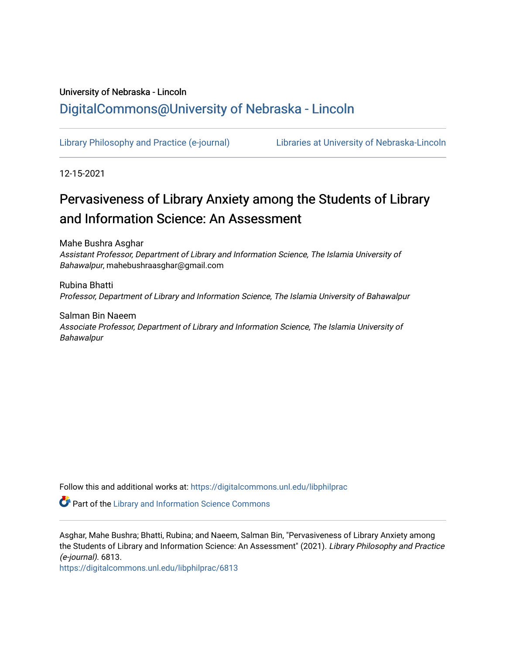# University of Nebraska - Lincoln [DigitalCommons@University of Nebraska - Lincoln](https://digitalcommons.unl.edu/)

[Library Philosophy and Practice \(e-journal\)](https://digitalcommons.unl.edu/libphilprac) [Libraries at University of Nebraska-Lincoln](https://digitalcommons.unl.edu/libraries) 

12-15-2021

# Pervasiveness of Library Anxiety among the Students of Library and Information Science: An Assessment

Mahe Bushra Asghar Assistant Professor, Department of Library and Information Science, The Islamia University of Bahawalpur, mahebushraasghar@gmail.com

Rubina Bhatti Professor, Department of Library and Information Science, The Islamia University of Bahawalpur

Salman Bin Naeem Associate Professor, Department of Library and Information Science, The Islamia University of Bahawalpur

Follow this and additional works at: [https://digitalcommons.unl.edu/libphilprac](https://digitalcommons.unl.edu/libphilprac?utm_source=digitalcommons.unl.edu%2Flibphilprac%2F6813&utm_medium=PDF&utm_campaign=PDFCoverPages) 

**Part of the Library and Information Science Commons** 

Asghar, Mahe Bushra; Bhatti, Rubina; and Naeem, Salman Bin, "Pervasiveness of Library Anxiety among the Students of Library and Information Science: An Assessment" (2021). Library Philosophy and Practice (e-journal). 6813.

[https://digitalcommons.unl.edu/libphilprac/6813](https://digitalcommons.unl.edu/libphilprac/6813?utm_source=digitalcommons.unl.edu%2Flibphilprac%2F6813&utm_medium=PDF&utm_campaign=PDFCoverPages)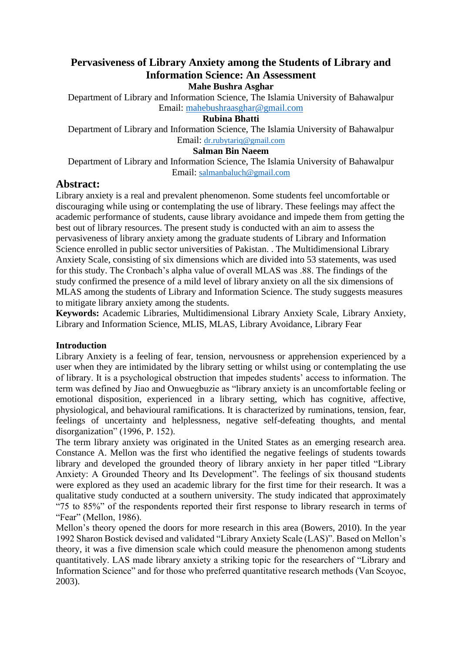# **Pervasiveness of Library Anxiety among the Students of Library and Information Science: An Assessment**

**Mahe Bushra Asghar**

Department of Library and Information Science, The Islamia University of Bahawalpur Email: [mahebushraasghar@gmail.com](mailto:mahebushraasghar@gmail.com)

# **Rubina Bhatti**

Department of Library and Information Science, The Islamia University of Bahawalpur Email: [dr.rubytariq@gmail.com](mailto:dr.rubytariq@gmail.com)

# **Salman Bin Naeem**

Department of Library and Information Science, The Islamia University of Bahawalpur Email: [salmanbaluch@gmail.com](mailto:salmanbaluch@gmail.com)

# **Abstract:**

Library anxiety is a real and prevalent phenomenon. Some students feel uncomfortable or discouraging while using or contemplating the use of library. These feelings may affect the academic performance of students, cause library avoidance and impede them from getting the best out of library resources. The present study is conducted with an aim to assess the pervasiveness of library anxiety among the graduate students of Library and Information Science enrolled in public sector universities of Pakistan. . The Multidimensional Library Anxiety Scale, consisting of six dimensions which are divided into 53 statements, was used for this study. The Cronbach's alpha value of overall MLAS was .88. The findings of the study confirmed the presence of a mild level of library anxiety on all the six dimensions of MLAS among the students of Library and Information Science. The study suggests measures to mitigate library anxiety among the students.

**Keywords:** Academic Libraries, Multidimensional Library Anxiety Scale, Library Anxiety, Library and Information Science, MLIS, MLAS, Library Avoidance, Library Fear

# **Introduction**

Library Anxiety is a feeling of fear, tension, nervousness or apprehension experienced by a user when they are intimidated by the library setting or whilst using or contemplating the use of library. It is a psychological obstruction that impedes students' access to information. The term was defined by Jiao and Onwuegbuzie as "library anxiety is an uncomfortable feeling or emotional disposition, experienced in a library setting, which has cognitive, affective, physiological, and behavioural ramifications. It is characterized by ruminations, tension, fear, feelings of uncertainty and helplessness, negative self-defeating thoughts, and mental disorganization" (1996, P. 152).

The term library anxiety was originated in the United States as an emerging research area. Constance A. Mellon was the first who identified the negative feelings of students towards library and developed the grounded theory of library anxiety in her paper titled "Library Anxiety: A Grounded Theory and Its Development". The feelings of six thousand students were explored as they used an academic library for the first time for their research. It was a qualitative study conducted at a southern university. The study indicated that approximately "75 to 85%" of the respondents reported their first response to library research in terms of "Fear" (Mellon, 1986).

Mellon's theory opened the doors for more research in this area (Bowers, 2010). In the year 1992 Sharon Bostick devised and validated "Library Anxiety Scale (LAS)". Based on Mellon's theory, it was a five dimension scale which could measure the phenomenon among students quantitatively. LAS made library anxiety a striking topic for the researchers of "Library and Information Science" and for those who preferred quantitative research methods (Van Scoyoc, 2003).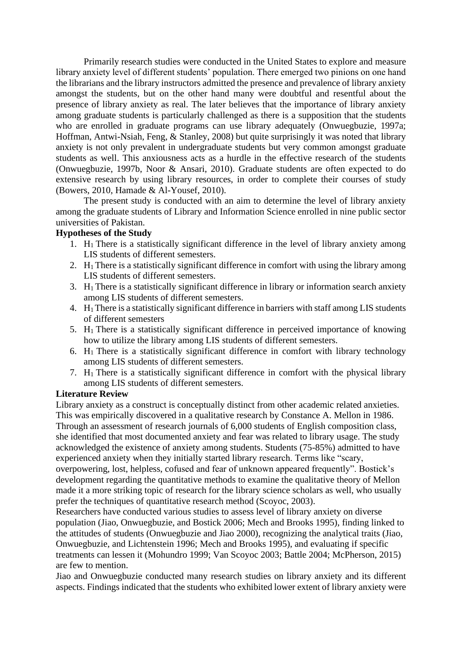Primarily research studies were conducted in the United States to explore and measure library anxiety level of different students' population. There emerged two pinions on one hand the librarians and the library instructors admitted the presence and prevalence of library anxiety amongst the students, but on the other hand many were doubtful and resentful about the presence of library anxiety as real. The later believes that the importance of library anxiety among graduate students is particularly challenged as there is a supposition that the students who are enrolled in graduate programs can use library adequately (Onwuegbuzie, 1997a; Hoffman, Antwi-Nsiah, Feng, & Stanley, 2008) but quite surprisingly it was noted that library anxiety is not only prevalent in undergraduate students but very common amongst graduate students as well. This anxiousness acts as a hurdle in the effective research of the students (Onwuegbuzie, 1997b, Noor & Ansari, 2010). Graduate students are often expected to do extensive research by using library resources, in order to complete their courses of study (Bowers, 2010, Hamade & Al-Yousef, 2010).

The present study is conducted with an aim to determine the level of library anxiety among the graduate students of Library and Information Science enrolled in nine public sector universities of Pakistan.

#### **Hypotheses of the Study**

- 1. H1 There is a statistically significant difference in the level of library anxiety among LIS students of different semesters.
- 2.  $H_1$  There is a statistically significant difference in comfort with using the library among LIS students of different semesters.
- 3.  $H_1$  There is a statistically significant difference in library or information search anxiety among LIS students of different semesters.
- 4. H1 There is a statistically significant difference in barriers with staff among LIS students of different semesters
- 5.  $H_1$  There is a statistically significant difference in perceived importance of knowing how to utilize the library among LIS students of different semesters.
- 6.  $H_1$  There is a statistically significant difference in comfort with library technology among LIS students of different semesters.
- 7. H1 There is a statistically significant difference in comfort with the physical library among LIS students of different semesters.

# **Literature Review**

Library anxiety as a construct is conceptually distinct from other academic related anxieties. This was empirically discovered in a qualitative research by Constance A. Mellon in 1986. Through an assessment of research journals of 6,000 students of English composition class, she identified that most documented anxiety and fear was related to library usage. The study

acknowledged the existence of anxiety among students. Students (75-85%) admitted to have experienced anxiety when they initially started library research. Terms like "scary, overpowering, lost, helpless, cofused and fear of unknown appeared frequently". Bostick's

development regarding the quantitative methods to examine the qualitative theory of Mellon made it a more striking topic of research for the library science scholars as well, who usually prefer the techniques of quantitative research method (Scoyoc, 2003).

Researchers have conducted various studies to assess level of library anxiety on diverse population (Jiao, Onwuegbuzie, and Bostick 2006; Mech and Brooks 1995), finding linked to the attitudes of students (Onwuegbuzie and Jiao 2000), recognizing the analytical traits (Jiao, Onwuegbuzie, and Lichtenstein 1996; Mech and Brooks 1995), and evaluating if specific treatments can lessen it (Mohundro 1999; Van Scoyoc 2003; Battle 2004; McPherson, 2015) are few to mention.

Jiao and Onwuegbuzie conducted many research studies on library anxiety and its different aspects. Findings indicated that the students who exhibited lower extent of library anxiety were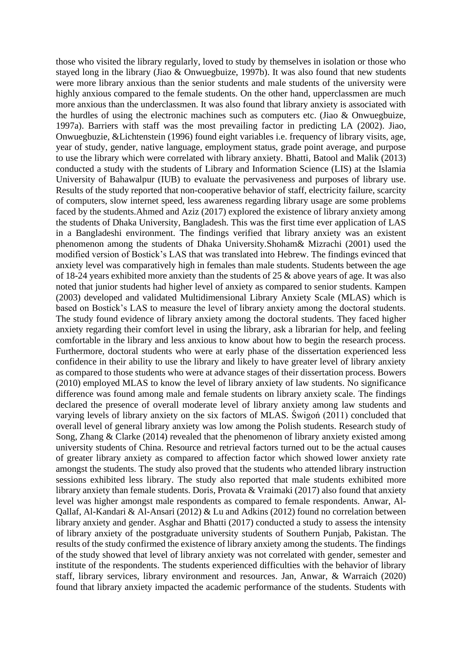those who visited the library regularly, loved to study by themselves in isolation or those who stayed long in the library (Jiao & Onwuegbuize, 1997b). It was also found that new students were more library anxious than the senior students and male students of the university were highly anxious compared to the female students. On the other hand, upperclassmen are much more anxious than the underclassmen. It was also found that library anxiety is associated with the hurdles of using the electronic machines such as computers etc. (Jiao & Onwuegbuize, 1997a). Barriers with staff was the most prevailing factor in predicting LA (2002). Jiao, Onwuegbuzie, &Lichtenstein (1996) found eight variables i.e. frequency of library visits, age, year of study, gender, native language, employment status, grade point average, and purpose to use the library which were correlated with library anxiety. Bhatti, Batool and Malik (2013) conducted a study with the students of Library and Information Science (LIS) at the Islamia University of Bahawalpur (IUB) to evaluate the pervasiveness and purposes of library use. Results of the study reported that non-cooperative behavior of staff, electricity failure, scarcity of computers, slow internet speed, less awareness regarding library usage are some problems faced by the students.Ahmed and Aziz (2017) explored the existence of library anxiety among the students of Dhaka University, Bangladesh. This was the first time ever application of LAS in a Bangladeshi environment. The findings verified that library anxiety was an existent phenomenon among the students of Dhaka University.Shoham& Mizrachi (2001) used the modified version of Bostick's LAS that was translated into Hebrew. The findings evinced that anxiety level was comparatively high in females than male students. Students between the age of 18-24 years exhibited more anxiety than the students of 25 & above years of age. It was also noted that junior students had higher level of anxiety as compared to senior students. Kampen (2003) developed and validated Multidimensional Library Anxiety Scale (MLAS) which is based on Bostick's LAS to measure the level of library anxiety among the doctoral students. The study found evidence of library anxiety among the doctoral students. They faced higher anxiety regarding their comfort level in using the library, ask a librarian for help, and feeling comfortable in the library and less anxious to know about how to begin the research process. Furthermore, doctoral students who were at early phase of the dissertation experienced less confidence in their ability to use the library and likely to have greater level of library anxiety as compared to those students who were at advance stages of their dissertation process. Bowers (2010) employed MLAS to know the level of library anxiety of law students. No significance difference was found among male and female students on library anxiety scale. The findings declared the presence of overall moderate level of library anxiety among law students and varying levels of library anxiety on the six factors of MLAS. Świgoń (2011) concluded that overall level of general library anxiety was low among the Polish students. Research study of Song, Zhang & Clarke (2014) revealed that the phenomenon of library anxiety existed among university students of China. Resource and retrieval factors turned out to be the actual causes of greater library anxiety as compared to affection factor which showed lower anxiety rate amongst the students. The study also proved that the students who attended library instruction sessions exhibited less library. The study also reported that male students exhibited more library anxiety than female students. Doris, Provata & Vraimaki (2017) also found that anxiety level was higher amongst male respondents as compared to female respondents. Anwar, Al-Qallaf, Al-Kandari & Al-Ansari (2012) & Lu and Adkins (2012) found no correlation between library anxiety and gender. Asghar and Bhatti (2017) conducted a study to assess the intensity of library anxiety of the postgraduate university students of Southern Punjab, Pakistan. The results of the study confirmed the existence of library anxiety among the students. The findings of the study showed that level of library anxiety was not correlated with gender, semester and institute of the respondents. The students experienced difficulties with the behavior of library staff, library services, library environment and resources. Jan, Anwar, & Warraich (2020) found that library anxiety impacted the academic performance of the students. Students with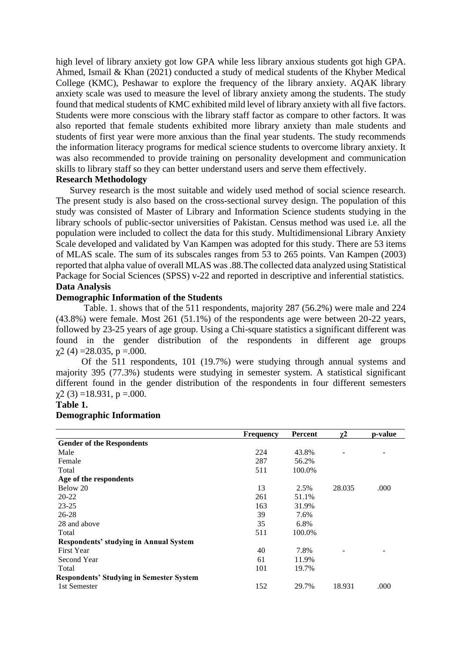high level of library anxiety got low GPA while less library anxious students got high GPA. Ahmed, Ismail & Khan (2021) conducted a study of medical students of the Khyber Medical College (KMC), Peshawar to explore the frequency of the library anxiety. AQAK library anxiety scale was used to measure the level of library anxiety among the students. The study found that medical students of KMC exhibited mild level of library anxiety with all five factors. Students were more conscious with the library staff factor as compare to other factors. It was also reported that female students exhibited more library anxiety than male students and students of first year were more anxious than the final year students. The study recommends the information literacy programs for medical science students to overcome library anxiety. It was also recommended to provide training on personality development and communication skills to library staff so they can better understand users and serve them effectively.

# **Research Methodology**

Survey research is the most suitable and widely used method of social science research. The present study is also based on the cross-sectional survey design. The population of this study was consisted of Master of Library and Information Science students studying in the library schools of public-sector universities of Pakistan. Census method was used i.e. all the population were included to collect the data for this study. Multidimensional Library Anxiety Scale developed and validated by Van Kampen was adopted for this study. There are 53 items of MLAS scale. The sum of its subscales ranges from 53 to 265 points. Van Kampen (2003) reported that alpha value of overall MLAS was .88.The collected data analyzed using Statistical Package for Social Sciences (SPSS) v-22 and reported in descriptive and inferential statistics. **Data Analysis**

#### **Demographic Information of the Students**

Table. 1. shows that of the 511 respondents, majority 287 (56.2%) were male and 224 (43.8%) were female. Most 261 (51.1%) of the respondents age were between 20-22 years, followed by 23-25 years of age group. Using a Chi-square statistics a significant different was found in the gender distribution of the respondents in different age groups  $\chi$ 2 (4) = 28.035, p = 000.

 Of the 511 respondents, 101 (19.7%) were studying through annual systems and majority 395 (77.3%) students were studying in semester system. A statistical significant different found in the gender distribution of the respondents in four different semesters  $\chi$ 2 (3) =18.931, p =.000.

# **Table 1.**

#### **Demographic Information**

|                                                 | <b>Frequency</b> | Percent | $\chi^2$ | p-value |
|-------------------------------------------------|------------------|---------|----------|---------|
| <b>Gender of the Respondents</b>                |                  |         |          |         |
| Male                                            | 224              | 43.8%   |          |         |
| Female                                          | 287              | 56.2%   |          |         |
| Total                                           | 511              | 100.0%  |          |         |
| Age of the respondents                          |                  |         |          |         |
| Below 20                                        | 13               | 2.5%    | 28.035   | .000    |
| $20 - 22$                                       | 261              | 51.1%   |          |         |
| $23 - 25$                                       | 163              | 31.9%   |          |         |
| $26 - 28$                                       | 39               | 7.6%    |          |         |
| 28 and above                                    | 35               | 6.8%    |          |         |
| Total                                           | 511              | 100.0%  |          |         |
| Respondents' studying in Annual System          |                  |         |          |         |
| First Year                                      | 40               | 7.8%    |          |         |
| Second Year                                     | 61               | 11.9%   |          |         |
| Total                                           | 101              | 19.7%   |          |         |
| <b>Respondents' Studying in Semester System</b> |                  |         |          |         |
| 1st Semester                                    | 152              | 29.7%   | 18.931   | .000    |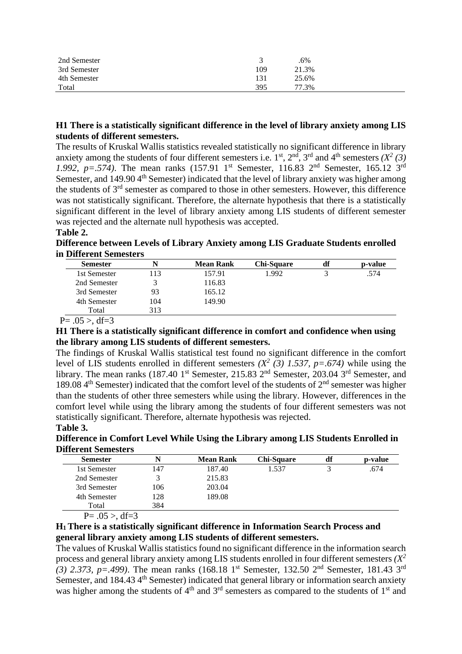| 2nd Semester |     | .6%   |  |
|--------------|-----|-------|--|
| 3rd Semester | 109 | 21.3% |  |
| 4th Semester | 131 | 25.6% |  |
| Total        | 395 | 77.3% |  |

# **H1 There is a statistically significant difference in the level of library anxiety among LIS students of different semesters.**

The results of Kruskal Wallis statistics revealed statistically no significant difference in library anxiety among the students of four different semesters i.e.  $1<sup>st</sup>$ ,  $2<sup>nd</sup>$ ,  $3<sup>rd</sup>$  and  $4<sup>th</sup>$  semesters  $(X<sup>2</sup> (3))$ *1.992, p*=.574). The mean ranks (157.91 1<sup>st</sup> Semester, 116.83 2<sup>nd</sup> Semester, 165.12 3<sup>rd</sup> Semester, and 149.90 4<sup>th</sup> Semester) indicated that the level of library anxiety was higher among the students of 3rd semester as compared to those in other semesters. However, this difference was not statistically significant. Therefore, the alternate hypothesis that there is a statistically significant different in the level of library anxiety among LIS students of different semester was rejected and the alternate null hypothesis was accepted.

# **Table 2.**

**Difference between Levels of Library Anxiety among LIS Graduate Students enrolled in Different Semesters**

| <b>Semester</b> | N   | <b>Mean Rank</b> | Chi-Square | df | p-value |
|-----------------|-----|------------------|------------|----|---------|
| 1st Semester    | 113 | 157.91           | 1.992      |    | .574    |
| 2nd Semester    |     | 116.83           |            |    |         |
| 3rd Semester    | 93  | 165.12           |            |    |         |
| 4th Semester    | 104 | 149.90           |            |    |         |
| Total           | 313 |                  |            |    |         |

 $P = .05 > df = 3$ 

# **H1 There is a statistically significant difference in comfort and confidence when using the library among LIS students of different semesters.**

The findings of Kruskal Wallis statistical test found no significant difference in the comfort level of LIS students enrolled in different semesters  $(X^2 \t(3) \t1.537, p = .674)$  while using the library. The mean ranks (187.40 1<sup>st</sup> Semester, 215.83 2<sup>nd</sup> Semester, 203.04 3<sup>rd</sup> Semester, and 189.08  $4<sup>th</sup>$  Semester) indicated that the comfort level of the students of  $2<sup>nd</sup>$  semester was higher than the students of other three semesters while using the library. However, differences in the comfort level while using the library among the students of four different semesters was not statistically significant. Therefore, alternate hypothesis was rejected.

# **Table 3.**

**Difference in Comfort Level While Using the Library among LIS Students Enrolled in Different Semesters**

| <b>Semester</b> | N   | <b>Mean Rank</b> | Chi-Square | df | p-value |
|-----------------|-----|------------------|------------|----|---------|
| 1st Semester    | 147 | 187.40           | 1.537      |    | .674    |
| 2nd Semester    |     | 215.83           |            |    |         |
| 3rd Semester    | 106 | 203.04           |            |    |         |
| 4th Semester    | 128 | 189.08           |            |    |         |
| Total           | 384 |                  |            |    |         |

 $P = .05 >$ , df=3

# **H1 There is a statistically significant difference in Information Search Process and general library anxiety among LIS students of different semesters.**

The values of Kruskal Wallis statistics found no significant difference in the information search process and general library anxiety among LIS students enrolled in four different semesters *(X<sup>2</sup> (3) 2.373, p*=.499). The mean ranks (168.18 1<sup>st</sup> Semester, 132.50 2<sup>nd</sup> Semester, 181.43 3<sup>rd</sup> Semester, and 184.43 4<sup>th</sup> Semester) indicated that general library or information search anxiety was higher among the students of  $4<sup>th</sup>$  and  $3<sup>rd</sup>$  semesters as compared to the students of  $1<sup>st</sup>$  and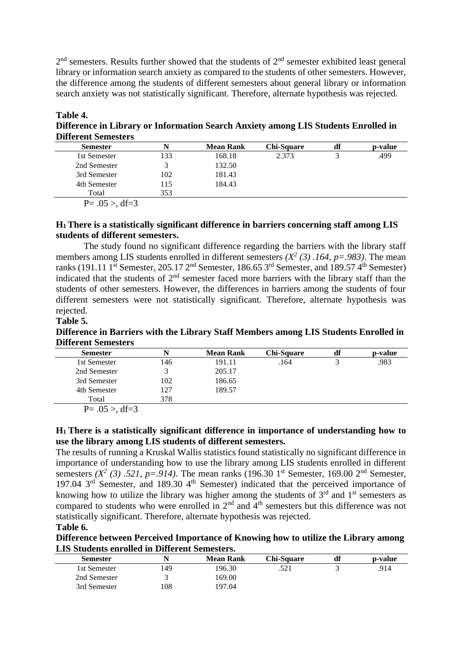$2<sup>nd</sup>$  semesters. Results further showed that the students of  $2<sup>nd</sup>$  semester exhibited least general library or information search anxiety as compared to the students of other semesters. However, the difference among the students of different semesters about general library or information search anxiety was not statistically significant. Therefore, alternate hypothesis was rejected.

| Table 4.                                                                           |
|------------------------------------------------------------------------------------|
| Difference in Library or Information Search Anxiety among LIS Students Enrolled in |
| <b>Different Semesters</b>                                                         |

| <b>Semester</b>    |     | <b>Mean Rank</b> | <b>Chi-Square</b> | df | p-value |
|--------------------|-----|------------------|-------------------|----|---------|
| 1st Semester       | 133 | 168.18           | 2.373             |    | .499    |
| 2nd Semester       |     | 132.50           |                   |    |         |
| 3rd Semester       | 102 | 181.43           |                   |    |         |
| 4th Semester       | 115 | 184.43           |                   |    |         |
| Total              | 353 |                  |                   |    |         |
| $P = .05 > df = 3$ |     |                  |                   |    |         |

# **H1 There is a statistically significant difference in barriers concerning staff among LIS students of different semesters.**

The study found no significant difference regarding the barriers with the library staff members among LIS students enrolled in different semesters  $(X^2(3)$ . 164,  $p=0.983$ ). The mean ranks (191.11 1<sup>st</sup> Semester, 205.17 2<sup>nd</sup> Semester, 186.65 3<sup>rd</sup> Semester, and 189.57 4<sup>th</sup> Semester) indicated that the students of  $2<sup>nd</sup>$  semester faced more barriers with the library staff than the students of other semesters. However, the differences in barriers among the students of four different semesters were not statistically significant. Therefore, alternate hypothesis was rejected.

# **Table 5.**

**Difference in Barriers with the Library Staff Members among LIS Students Enrolled in Different Semesters**

| <b>Semester</b> |     | <b>Mean Rank</b> | <b>Chi-Square</b> | df | p-value |
|-----------------|-----|------------------|-------------------|----|---------|
| 1st Semester    | 146 | 191.11           | .164              |    | .983    |
| 2nd Semester    |     | 205.17           |                   |    |         |
| 3rd Semester    | 102 | 186.65           |                   |    |         |
| 4th Semester    | 127 | 189.57           |                   |    |         |
| Total           | 378 |                  |                   |    |         |
|                 |     |                  |                   |    |         |

 $P = .05 >$ , df=3

# **H1 There is a statistically significant difference in importance of understanding how to use the library among LIS students of different semesters.**

The results of running a Kruskal Wallis statistics found statistically no significant difference in importance of understanding how to use the library among LIS students enrolled in different semesters  $(X^2 (3)$ .521,  $p = .914$ ). The mean ranks (196.30 1<sup>st</sup> Semester, 169.00 2<sup>nd</sup> Semester, 197.04 3<sup>rd</sup> Semester, and 189.30 4<sup>th</sup> Semester) indicated that the perceived importance of knowing how to utilize the library was higher among the students of  $3<sup>rd</sup>$  and  $1<sup>st</sup>$  semesters as compared to students who were enrolled in  $2<sup>nd</sup>$  and  $4<sup>th</sup>$  semesters but this difference was not statistically significant. Therefore, alternate hypothesis was rejected.

**Table 6.**

**Difference between Perceived Importance of Knowing how to utilize the Library among LIS Students enrolled in Different Semesters.**

| <b>Semester</b> |     | Mean Rank | Chi-Sauare | df | p-value |
|-----------------|-----|-----------|------------|----|---------|
| 1st Semester    | .49 | 196.30    | .521       |    | .914    |
| 2nd Semester    |     | 169.00    |            |    |         |
| 3rd Semester    | .08 | 197.04    |            |    |         |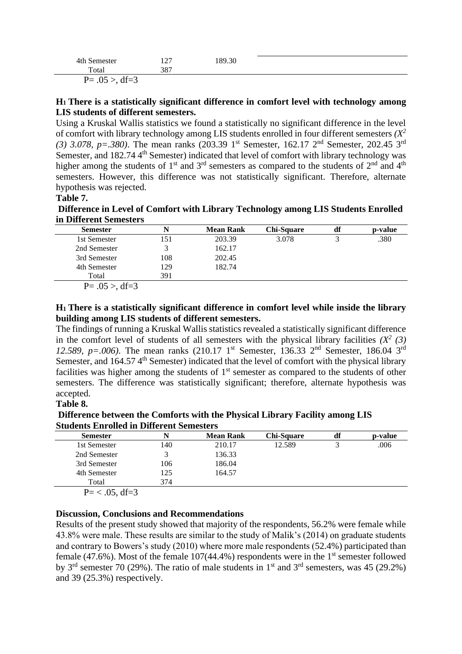| 4th S<br>.                                                                                                              | $\sim$<br>1/1 | 89.30 |  |
|-------------------------------------------------------------------------------------------------------------------------|---------------|-------|--|
| Total                                                                                                                   | 207<br>، ٥٥   |       |  |
| $\mathbf{A}$<br>$\sqrt{2}$<br>$D-$<br>.__<br>$\overline{\phantom{0}}$<br>. — .<br>$\cdot \cdot \cdot$<br>$\sim$ . u $-$ |               |       |  |

# **H1 There is a statistically significant difference in comfort level with technology among LIS students of different semesters.**

Using a Kruskal Wallis statistics we found a statistically no significant difference in the level of comfort with library technology among LIS students enrolled in four different semesters  $(X^2)$ *(3) 3.078, p=.380)*. The mean ranks (203.39 1<sup>st</sup> Semester, 162.17 2<sup>nd</sup> Semester, 202.45 3<sup>rd</sup> Semester, and 182.74 4<sup>th</sup> Semester) indicated that level of comfort with library technology was higher among the students of  $1<sup>st</sup>$  and  $3<sup>rd</sup>$  semesters as compared to the students of  $2<sup>nd</sup>$  and  $4<sup>th</sup>$ semesters. However, this difference was not statistically significant. Therefore, alternate hypothesis was rejected.

#### **Table 7.**

# **Difference in Level of Comfort with Library Technology among LIS Students Enrolled in Different Semesters**

| <b>Semester</b>     |     | <b>Mean Rank</b> | <b>Chi-Square</b> | df | p-value |
|---------------------|-----|------------------|-------------------|----|---------|
| 1st Semester        | 151 | 203.39           | 3.078             |    | .380    |
| 2nd Semester        |     | 162.17           |                   |    |         |
| 3rd Semester        | 108 | 202.45           |                   |    |         |
| 4th Semester        | 129 | 182.74           |                   |    |         |
| Total               | 391 |                  |                   |    |         |
| $D = 0.5 - 1.6 - 2$ |     |                  |                   |    |         |

 $P = .05 > .01 = 3$ 

# **H1 There is a statistically significant difference in comfort level while inside the library building among LIS students of different semesters.**

The findings of running a Kruskal Wallis statistics revealed a statistically significant difference in the comfort level of students of all semesters with the physical library facilities  $(X^2 \tbinom{3}{})$ *12.589, p=.006)*. The mean ranks (210.17 1<sup>st</sup> Semester, 136.33 2<sup>nd</sup> Semester, 186.04 3<sup>rd</sup> Semester, and 164.57 4<sup>th</sup> Semester) indicated that the level of comfort with the physical library facilities was higher among the students of  $1<sup>st</sup>$  semester as compared to the students of other semesters. The difference was statistically significant; therefore, alternate hypothesis was accepted.

# **Table 8.**

**Difference between the Comforts with the Physical Library Facility among LIS Students Enrolled in Different Semesters**

| <b>Semester</b>                                                               |     | <b>Mean Rank</b> | <b>Chi-Square</b> | df | p-value |
|-------------------------------------------------------------------------------|-----|------------------|-------------------|----|---------|
| 1st Semester                                                                  | 140 | 210.17           | 12.589            |    | .006    |
| 2nd Semester                                                                  |     | 136.33           |                   |    |         |
| 3rd Semester                                                                  | 106 | 186.04           |                   |    |         |
| 4th Semester                                                                  | 125 | 164.57           |                   |    |         |
| Total                                                                         | 374 |                  |                   |    |         |
| $\mathbb{R}$ $\mathbb{R}$ $\mathbb{R}$ $\mathbb{R}$ $\mathbb{R}$ $\mathbb{R}$ |     |                  |                   |    |         |

 $P = < .05$ , df=3

# **Discussion, Conclusions and Recommendations**

Results of the present study showed that majority of the respondents, 56.2% were female while 43.8% were male. These results are similar to the study of Malik's (2014) on graduate students and contrary to Bowers's study (2010) where more male respondents (52.4%) participated than female (47.6%). Most of the female  $107(44.4\%)$  respondents were in the 1<sup>st</sup> semester followed by  $3<sup>rd</sup>$  semester 70 (29%). The ratio of male students in  $1<sup>st</sup>$  and  $3<sup>rd</sup>$  semesters, was 45 (29.2%) and 39 (25.3%) respectively.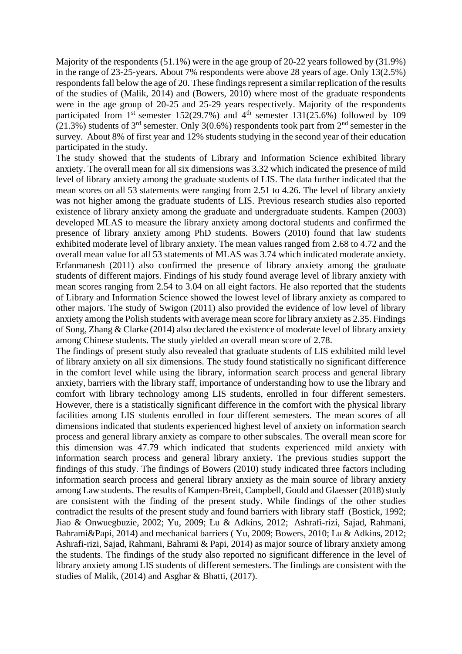Majority of the respondents (51.1%) were in the age group of 20-22 years followed by (31.9%) in the range of 23-25-years. About 7% respondents were above 28 years of age. Only 13(2.5%) respondents fall below the age of 20. These findings represent a similar replication of the results of the studies of (Malik, 2014) and (Bowers, 2010) where most of the graduate respondents were in the age group of 20-25 and 25-29 years respectively. Majority of the respondents participated from  $1<sup>st</sup>$  semester  $152(29.7%)$  and  $4<sup>th</sup>$  semester  $131(25.6%)$  followed by 109  $(21.3\%)$  students of 3<sup>rd</sup> semester. Only 3(0.6%) respondents took part from 2<sup>nd</sup> semester in the survey. About 8% of first year and 12% students studying in the second year of their education participated in the study.

The study showed that the students of Library and Information Science exhibited library anxiety. The overall mean for all six dimensions was 3.32 which indicated the presence of mild level of library anxiety among the graduate students of LIS. The data further indicated that the mean scores on all 53 statements were ranging from 2.51 to 4.26. The level of library anxiety was not higher among the graduate students of LIS. Previous research studies also reported existence of library anxiety among the graduate and undergraduate students. Kampen (2003) developed MLAS to measure the library anxiety among doctoral students and confirmed the presence of library anxiety among PhD students. Bowers (2010) found that law students exhibited moderate level of library anxiety. The mean values ranged from 2.68 to 4.72 and the overall mean value for all 53 statements of MLAS was 3.74 which indicated moderate anxiety. Erfanmanesh (2011) also confirmed the presence of library anxiety among the graduate students of different majors. Findings of his study found average level of library anxiety with mean scores ranging from 2.54 to 3.04 on all eight factors. He also reported that the students of Library and Information Science showed the lowest level of library anxiety as compared to other majors. The study of Swigon (2011) also provided the evidence of low level of library anxiety among the Polish students with average mean score for library anxiety as 2.35. Findings of Song, Zhang & Clarke (2014) also declared the existence of moderate level of library anxiety among Chinese students. The study yielded an overall mean score of 2.78.

The findings of present study also revealed that graduate students of LIS exhibited mild level of library anxiety on all six dimensions. The study found statistically no significant difference in the comfort level while using the library, information search process and general library anxiety, barriers with the library staff, importance of understanding how to use the library and comfort with library technology among LIS students, enrolled in four different semesters. However, there is a statistically significant difference in the comfort with the physical library facilities among LIS students enrolled in four different semesters. The mean scores of all dimensions indicated that students experienced highest level of anxiety on information search process and general library anxiety as compare to other subscales. The overall mean score for this dimension was 47.79 which indicated that students experienced mild anxiety with information search process and general library anxiety. The previous studies support the findings of this study. The findings of Bowers (2010) study indicated three factors including information search process and general library anxiety as the main source of library anxiety among Law students. The results of Kampen-Breit, Campbell, Gould and Glaesser (2018) study are consistent with the finding of the present study. While findings of the other studies contradict the results of the present study and found barriers with library staff (Bostick, 1992; Jiao & Onwuegbuzie, 2002; Yu, 2009; Lu & Adkins, 2012; [Ashrafi-rizi, Sajad, Rahmani,](http://www.ncbi.nlm.nih.gov/pubmed/?term=Ashrafi-rizi%20H%5Bauth%5D)  [Bahrami&Papi,](http://www.ncbi.nlm.nih.gov/pubmed/?term=Ashrafi-rizi%20H%5Bauth%5D) 2014) and mechanical barriers ( Yu, 2009; Bowers, 2010; Lu & Adkins, 2012; [Ashrafi-rizi, Sajad, Rahmani, Bahrami & Papi,](http://www.ncbi.nlm.nih.gov/pubmed/?term=Ashrafi-rizi%20H%5Bauth%5D) 2014) as major source of library anxiety among the students. The findings of the study also reported no significant difference in the level of library anxiety among LIS students of different semesters. The findings are consistent with the studies of Malik, (2014) and Asghar & Bhatti, (2017).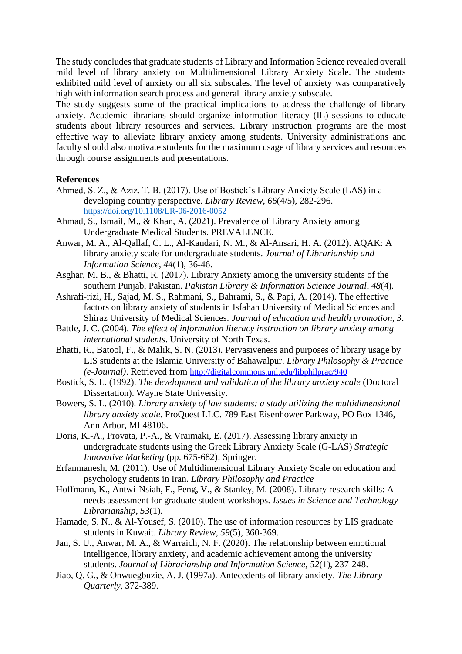The study concludes that graduate students of Library and Information Science revealed overall mild level of library anxiety on Multidimensional Library Anxiety Scale. The students exhibited mild level of anxiety on all six subscales. The level of anxiety was comparatively high with information search process and general library anxiety subscale.

The study suggests some of the practical implications to address the challenge of library anxiety. Academic librarians should organize information literacy (IL) sessions to educate students about library resources and services. Library instruction programs are the most effective way to alleviate library anxiety among students. University administrations and faculty should also motivate students for the maximum usage of library services and resources through course assignments and presentations.

# **References**

- Ahmed, S. Z., & Aziz, T. B. (2017). Use of Bostick's Library Anxiety Scale (LAS) in a developing country perspective. *Library Review*, *66*(4/5), 282-296. <https://doi.org/10.1108/LR-06-2016-0052>
- Ahmad, S., Ismail, M., & Khan, A. (2021). Prevalence of Library Anxiety among Undergraduate Medical Students. PREVALENCE.
- Anwar, M. A., Al-Qallaf, C. L., Al-Kandari, N. M., & Al-Ansari, H. A. (2012). AQAK: A library anxiety scale for undergraduate students. *Journal of Librarianship and Information Science, 44*(1), 36-46.
- Asghar, M. B., & Bhatti, R. (2017). Library Anxiety among the university students of the southern Punjab, Pakistan. *Pakistan Library & Information Science Journal*, *48*(4).
- Ashrafi-rizi, H., Sajad, M. S., Rahmani, S., Bahrami, S., & Papi, A. (2014). The effective factors on library anxiety of students in Isfahan University of Medical Sciences and Shiraz University of Medical Sciences. *Journal of education and health promotion, 3*.
- Battle, J. C. (2004). *The effect of information literacy instruction on library anxiety among international students*. University of North Texas.
- Bhatti, R., Batool, F., & Malik, S. N. (2013). Pervasiveness and purposes of library usage by LIS students at the Islamia University of Bahawalpur. *Library Philosophy & Practice (e-Journal)*. Retrieved from <http://digitalcommons.unl.edu/libphilprac/940>
- Bostick, S. L. (1992). *The development and validation of the library anxiety scale* (Doctoral Dissertation). Wayne State University.
- Bowers, S. L. (2010). *Library anxiety of law students: a study utilizing the multidimensional library anxiety scale*. ProQuest LLC. 789 East Eisenhower Parkway, PO Box 1346, Ann Arbor, MI 48106.
- Doris, K.-A., Provata, P.-A., & Vraimaki, E. (2017). Assessing library anxiety in undergraduate students using the Greek Library Anxiety Scale (G-LAS) *Strategic Innovative Marketing* (pp. 675-682): Springer.
- Erfanmanesh, M. (2011). Use of Multidimensional Library Anxiety Scale on education and psychology students in Iran. *Library Philosophy and Practice*
- Hoffmann, K., Antwi-Nsiah, F., Feng, V., & Stanley, M. (2008). Library research skills: A needs assessment for graduate student workshops. *Issues in Science and Technology Librarianship*, *53*(1).
- Hamade, S. N., & Al-Yousef, S. (2010). The use of information resources by LIS graduate students in Kuwait. *Library Review*, *59*(5), 360-369.
- Jan, S. U., Anwar, M. A., & Warraich, N. F. (2020). The relationship between emotional intelligence, library anxiety, and academic achievement among the university students. *Journal of Librarianship and Information Science*, *52*(1), 237-248.
- Jiao, Q. G., & Onwuegbuzie, A. J. (1997a). Antecedents of library anxiety. *The Library Quarterly*, 372-389.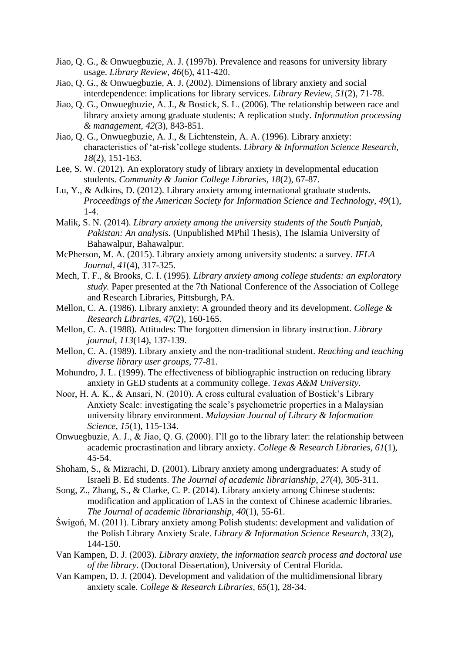- Jiao, Q. G., & Onwuegbuzie, A. J. (1997b). Prevalence and reasons for university library usage. *Library Review*, *46*(6), 411-420.
- Jiao, Q. G., & Onwuegbuzie, A. J. (2002). Dimensions of library anxiety and social interdependence: implications for library services. *Library Review, 51*(2), 71-78.
- Jiao, Q. G., Onwuegbuzie, A. J., & Bostick, S. L. (2006). The relationship between race and library anxiety among graduate students: A replication study. *Information processing & management*, *42*(3), 843-851.
- Jiao, Q. G., Onwuegbuzie, A. J., & Lichtenstein, A. A. (1996). Library anxiety: characteristics of 'at-risk'college students. *Library & Information Science Research, 18*(2), 151-163.
- Lee, S. W. (2012). An exploratory study of library anxiety in developmental education students. *Community & Junior College Libraries, 18*(2), 67-87.
- Lu, Y., & Adkins, D. (2012). Library anxiety among international graduate students. *Proceedings of the American Society for Information Science and Technology, 49*(1),  $1-4.$
- Malik, S. N. (2014). *Library anxiety among the university students of the South Punjab, Pakistan: An analysis.* (Unpublished MPhil Thesis), The Islamia University of Bahawalpur, Bahawalpur.
- McPherson, M. A. (2015). Library anxiety among university students: a survey. *IFLA Journal*, *41*(4), 317-325.
- Mech, T. F., & Brooks, C. I. (1995). *Library anxiety among college students: an exploratory study.* Paper presented at the 7th National Conference of the Association of College and Research Libraries, Pittsburgh, PA.
- Mellon, C. A. (1986). Library anxiety: A grounded theory and its development. *College & Research Libraries, 47*(2), 160-165.
- Mellon, C. A. (1988). Attitudes: The forgotten dimension in library instruction. *Library journal, 113*(14), 137-139.
- Mellon, C. A. (1989). Library anxiety and the non-traditional student. *Reaching and teaching diverse library user groups*, 77-81.
- Mohundro, J. L. (1999). The effectiveness of bibliographic instruction on reducing library anxiety in GED students at a community college. *Texas A&M University*.
- Noor, H. A. K., & Ansari, N. (2010). A cross cultural evaluation of Bostick's Library Anxiety Scale: investigating the scale's psychometric properties in a Malaysian university library environment. *Malaysian Journal of Library & Information Science*, *15*(1), 115-134.
- Onwuegbuzie, A. J., & Jiao, Q. G. (2000). I'll go to the library later: the relationship between academic procrastination and library anxiety. *College & Research Libraries, 61*(1), 45-54.
- Shoham, S., & Mizrachi, D. (2001). Library anxiety among undergraduates: A study of Israeli B. Ed students. *The Journal of academic librarianship, 27*(4), 305-311.
- Song, Z., Zhang, S., & Clarke, C. P. (2014). Library anxiety among Chinese students: modification and application of LAS in the context of Chinese academic libraries. *The Journal of academic librarianship, 40*(1), 55-61.
- Świgoń, M. (2011). Library anxiety among Polish students: development and validation of the Polish Library Anxiety Scale. *Library & Information Science Research, 33*(2), 144-150.
- Van Kampen, D. J. (2003). *Library anxiety, the information search process and doctoral use of the library.* (Doctoral Dissertation), University of Central Florida.
- Van Kampen, D. J. (2004). Development and validation of the multidimensional library anxiety scale. *College & Research Libraries, 65*(1), 28-34.